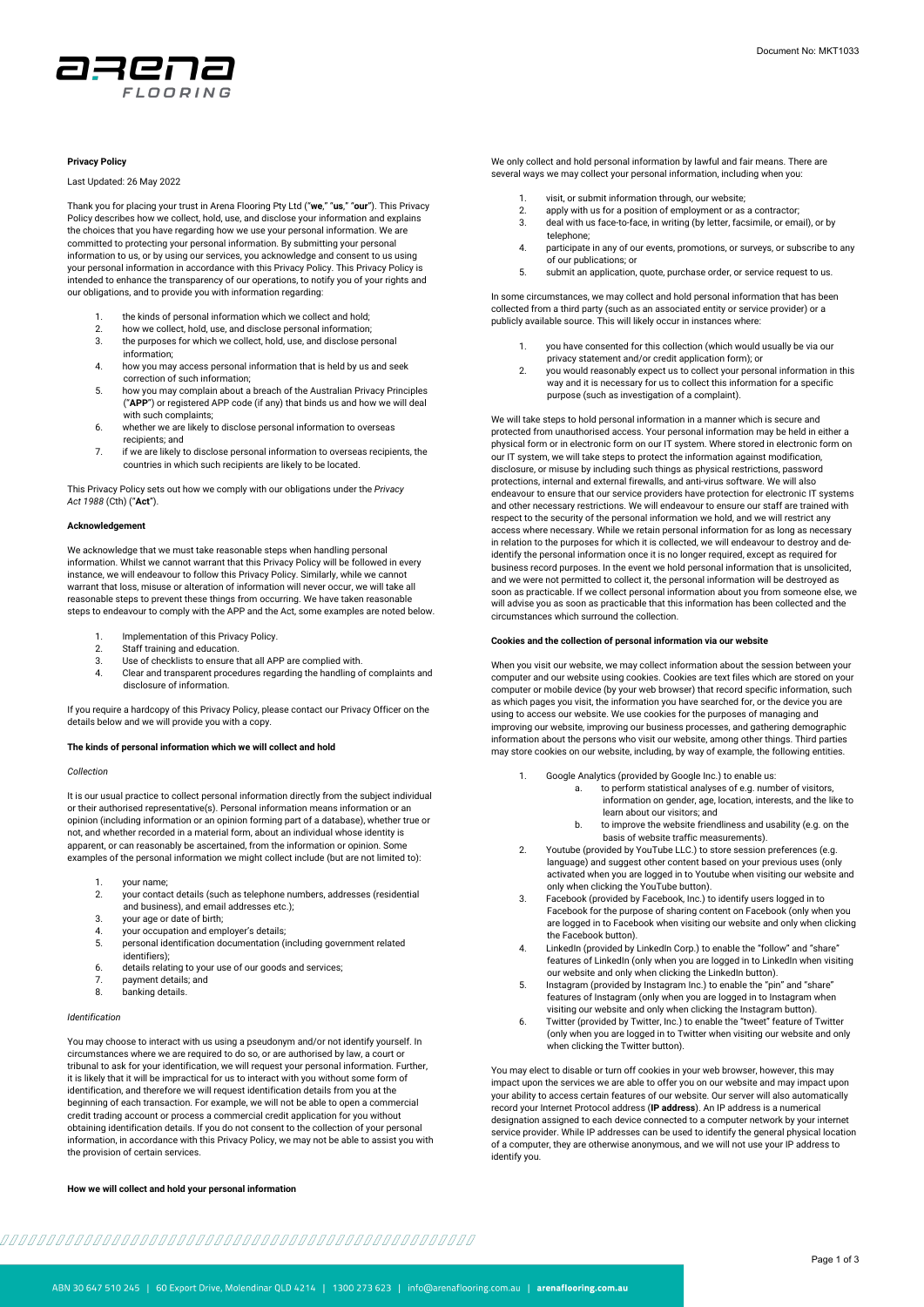

# **Privacy Policy**

#### Last Updated: 26 May 2022

Thank you for placing your trust in Arena Flooring Pty Ltd ("**we**," "**us**," "**our**"). This Privacy Policy describes how we collect, hold, use, and disclose your information and explains the choices that you have regarding how we use your personal information. We are committed to protecting your personal information. By submitting your personal information to us, or by using our services, you acknowledge and consent to us using your personal information in accordance with this Privacy Policy. This Privacy Policy is intended to enhance the transparency of our operations, to notify you of your rights and our obligations, and to provide you with information regarding:

- 1. the kinds of personal information which we collect and hold;<br>2 bow we collect hold use and disclose personal information:
- 2. how we collect, hold, use, and disclose personal information; 3. the purposes for which we collect, hold, use, and disclose personal
- information;
- 4. how you may access personal information that is held by us and seek correction of such information;
- 5. how you may complain about a breach of the Australian Privacy Principles ("**APP**") or registered APP code (if any) that binds us and how we will deal with such complaints:
- 6. whether we are likely to disclose personal information to overseas recipients; and
- 7. if we are likely to disclose personal information to overseas recipients, the countries in which such recipients are likely to be located.

This Privacy Policy sets out how we comply with our obligations under the *Privacy Act 1988* (Cth) ("**Act**").

#### **Acknowledgement**

We acknowledge that we must take reasonable steps when handling personal information. Whilst we cannot warrant that this Privacy Policy will be followed in every instance, we will endeavour to follow this Privacy Policy. Similarly, while we cannot warrant that loss, misuse or alteration of information will never occur, we will take all reasonable steps to prevent these things from occurring. We have taken reasonable steps to endeavour to comply with the APP and the Act, some examples are noted below.

- 1. Implementation of this Privacy Policy.<br>2. Staff training and education.
- Staff training and education.
- 3. Use of checklists to ensure that all APP are complied with.
- 4. Clear and transparent procedures regarding the handling of complaints and disclosure of information.

If you require a hardcopy of this Privacy Policy, please contact our Privacy Officer on the details below and we will provide you with a copy.

#### **The kinds of personal information which we will collect and hold**

### *Collection*

It is our usual practice to collect personal information directly from the subject individual or their authorised representative(s). Personal information means information or an opinion (including information or an opinion forming part of a database), whether true or not, and whether recorded in a material form, about an individual whose identity is apparent, or can reasonably be ascertained, from the information or opinion. Some examples of the personal information we might collect include (but are not limited to):

- 1. your name;
- 2. your contact details (such as telephone numbers, addresses (residential and business), and email addresses etc.);
- 3. your age or date of birth;
- 4. your occupation and employer's details;
- 5. personal identification documentation (including government related identifiers);
- 6. details relating to your use of our goods and services;
- payment details; and
- 8. banking details.

# *Identification*

You may choose to interact with us using a pseudonym and/or not identify yourself. In circumstances where we are required to do so, or are authorised by law, a court or tribunal to ask for your identification, we will request your personal information. Further, it is likely that it will be impractical for us to interact with you without some form of identification, and therefore we will request identification details from you at the beginning of each transaction. For example, we will not be able to open a commercial credit trading account or process a commercial credit application for you without obtaining identification details. If you do not consent to the collection of your personal information, in accordance with this Privacy Policy, we may not be able to assist you with the provision of certain services.

# **How we will collect and hold your personal information**

We only collect and hold personal information by lawful and fair means. There are several ways we may collect your personal information, including when you:

- visit, or submit information through, our website;
- 2. apply with us for a position of employment or as a contractor;
- 3. deal with us face-to-face, in writing (by letter, facsimile, or email), or by telephone;
- 4. participate in any of our events, promotions, or surveys, or subscribe to any of our publications; or
- 5. submit an application, quote, purchase order, or service request to us.

In some circumstances, we may collect and hold personal information that has been collected from a third party (such as an associated entity or service provider) or a publicly available source. This will likely occur in instances where:

- 1. you have consented for this collection (which would usually be via our privacy statement and/or credit application form); or
- 2. you would reasonably expect us to collect your personal information in this way and it is necessary for us to collect this information for a specific purpose (such as investigation of a complaint).

We will take steps to hold personal information in a manner which is secure and protected from unauthorised access. Your personal information may be held in either a physical form or in electronic form on our IT system. Where stored in electronic form on our IT system, we will take steps to protect the information against modification, disclosure, or misuse by including such things as physical restrictions, password protections, internal and external firewalls, and anti-virus software. We will also endeavour to ensure that our service providers have protection for electronic IT systems and other necessary restrictions. We will endeavour to ensure our staff are trained with respect to the security of the personal information we hold, and we will restrict any access where necessary. While we retain personal information for as long as necess in relation to the purposes for which it is collected, we will endeavour to destroy and deidentify the personal information once it is no longer required, except as required for business record purposes. In the event we hold personal information that is unsolicited, and we were not permitted to collect it, the personal information will be destroyed as soon as practicable. If we collect personal information about you from someone else, we will advise you as soon as practicable that this information has been collected and the circumstances which surround the collection.

# **Cookies and the collection of personal information via our website**

When you visit our website, we may collect information about the session between your computer and our website using cookies. Cookies are text files which are stored on your computer or mobile device (by your web browser) that record specific information, such as which pages you visit, the information you have searched for, or the device you are using to access our website. We use cookies for the purposes of managing and improving our website, improving our business processes, and gathering demographic information about the persons who visit our website, among other things. Third parties may store cookies on our website, including, by way of example, the following entities.

- 1. Google Analytics (provided by Google Inc.) to enable us: to perform statistical analyses of e.g. number of visitors, information on gender, age, location, interests, and the like to learn about our visitors; and
	- b. to improve the website friendliness and usability (e.g. on the basis of website traffic measurements).
- 2. Youtube (provided by YouTube LLC.) to store session preferences (e.g. language) and suggest other content based on your previous uses (only activated when you are logged in to Youtube when visiting our website and
- only when clicking the YouTube button). 3. Facebook (provided by Facebook, Inc.) to identify users logged in to Facebook for the purpose of sharing content on Facebook (only when you are logged in to Facebook when visiting our website and only when clicking the Facebook button).
- 4. LinkedIn (provided by LinkedIn Corp.) to enable the "follow" and "share" features of LinkedIn (only when you are logged in to LinkedIn when visiting our website and only when clicking the LinkedIn button).
- 5. Instagram (provided by Instagram Inc.) to enable the "pin" and "share" features of Instagram (only when you are logged in to Instagram when visiting our website and only when clicking the Instagram button).
- 6. Twitter (provided by Twitter, Inc.) to enable the "tweet" feature of Twitter (only when you are logged in to Twitter when visiting our website and only when clicking the Twitter button).

You may elect to disable or turn off cookies in your web browser, however, this may impact upon the services we are able to offer you on our website and may impact upon your ability to access certain features of our website. Our server will also automatically record your Internet Protocol address (**IP address**). An IP address is a numerical designation assigned to each device connected to a computer network by your internet service provider. While IP addresses can be used to identify the general physical location of a computer, they are otherwise anonymous, and we will not use your IP address to identify you.

#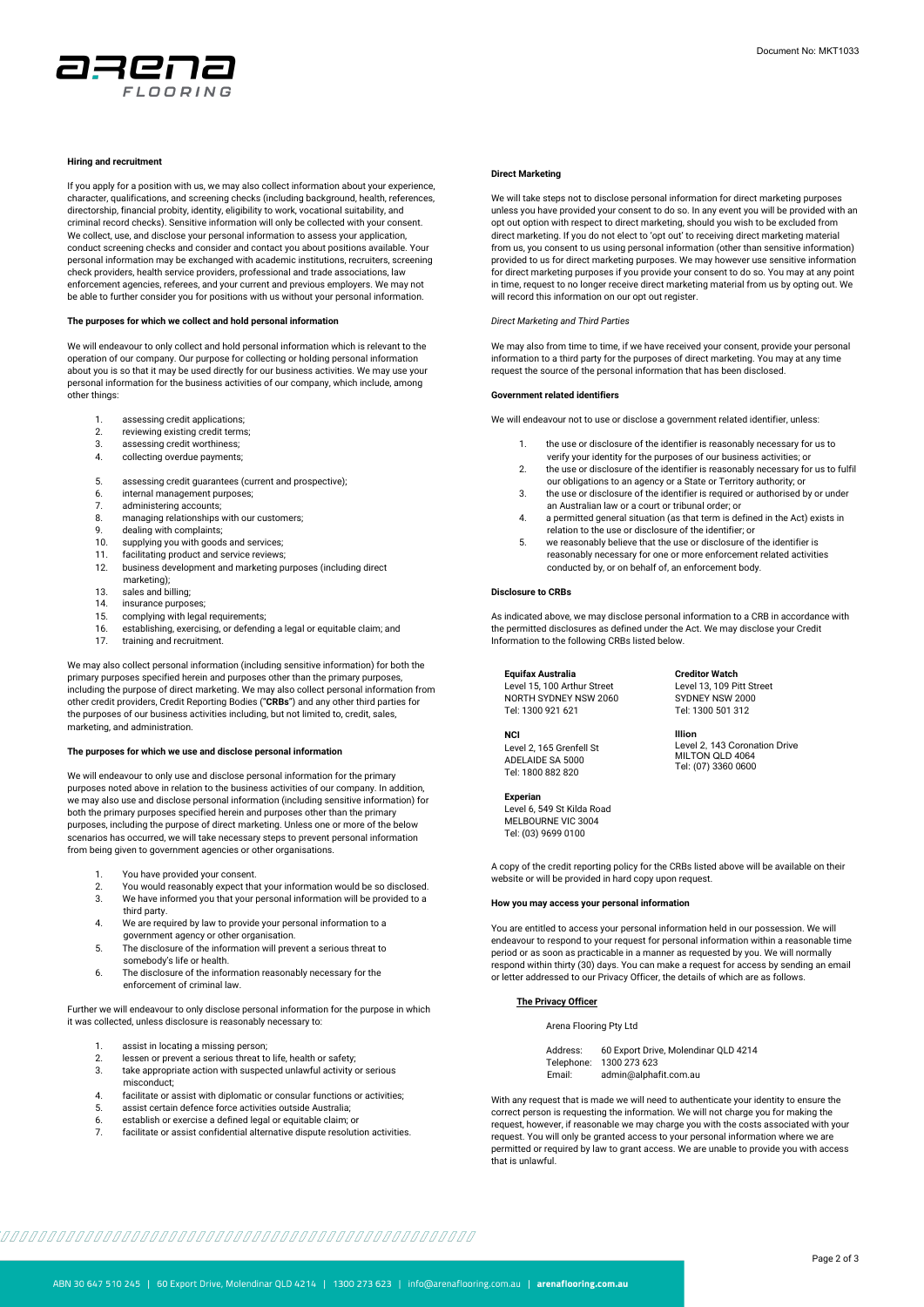

# **Hiring and recruitment**

If you apply for a position with us, we may also collect information about your experience, character, qualifications, and screening checks (including background, health, references, directorship, financial probity, identity, eligibility to work, vocational suitability, and criminal record checks). Sensitive information will only be collected with your consent. We collect, use, and disclose your personal information to assess your application, conduct screening checks and consider and contact you about positions available. Your personal information may be exchanged with academic institutions, recruiters, screening check providers, health service providers, professional and trade associations, law enforcement agencies, referees, and your current and previous employers. We may not be able to further consider you for positions with us without your personal information.

#### **The purposes for which we collect and hold personal information**

We will endeavour to only collect and hold personal information which is relevant to the operation of our company. Our purpose for collecting or holding personal information about you is so that it may be used directly for our business activities. We may use your personal information for the business activities of our company, which include, among other things:

- 1. assessing credit applications;<br>2. reviewing existing credit terms
- reviewing existing credit terms;
- 3. assessing credit worthiness;<br>4 collecting overdue payments
- collecting overdue payments;
- 5. assessing credit guarantees (current and prospective);
- 6. internal management purposes;
- 7. administering accounts;<br>8. managing relationships v
- managing relationships with our customers;
- 9. dealing with complaints;<br>10. supplying you with goods
- supplying you with goods and services;
- 11. facilitating product and service reviews; 12. business development and marketing purposes (including direct
- marketing);
- 13. sales and billing;<br>14. insurance purpos
- 14. insurance purposes; 15. complying with legal requirements;
- 16. establishing, exercising, or defending a legal or equitable claim; and
- 17. training and recruitment.

We may also collect personal information (including sensitive information) for both the primary purposes specified herein and purposes other than the primary purposes, including the purpose of direct marketing. We may also collect personal information from other credit providers, Credit Reporting Bodies ("**CRBs**") and any other third parties for the purposes of our business activities including, but not limited to, credit, sales, marketing, and administration.

#### **The purposes for which we use and disclose personal information**

We will endeavour to only use and disclose personal information for the primary purposes noted above in relation to the business activities of our company. In addition, we may also use and disclose personal information (including sensitive information) for both the primary purposes specified herein and purposes other than the primary purposes, including the purpose of direct marketing. Unless one or more of the below scenarios has occurred, we will take necessary steps to prevent personal information from being given to government agencies or other organisations.

- 1. You have provided your consent.
- 2. You would reasonably expect that your information would be so disclosed. 3. We have informed you that your personal information will be provided to a
- third party. 4. We are required by law to provide your personal information to a
- government agency or other organisation. 5. The disclosure of the information will prevent a serious threat to somebody's life or health.
- 6. The disclosure of the information reasonably necessary for the enforcement of criminal law.

Further we will endeavour to only disclose personal information for the purpose in which it was collected, unless disclosure is reasonably necessary to:

- 1. assist in locating a missing person;<br>2. lessen or prevent a serious threat to
- 2. lessen or prevent a serious threat to life, health or safety;<br>3. take appropriate action with suspected unlawful activity
- take appropriate action with suspected unlawful activity or serious misconduct;
- 4. facilitate or assist with diplomatic or consular functions or activities;
- 5. assist certain defence force activities outside Australia;<br>6. establish or exercise a defined legal or equitable claim: establish or exercise a defined legal or equitable claim; or
- 7. facilitate or assist confidential alternative dispute resolution activities.

#### **Direct Marketing**

We will take steps not to disclose personal information for direct marketing purposes unless you have provided your consent to do so. In any event you will be provided with an opt out option with respect to direct marketing, should you wish to be excluded from direct marketing. If you do not elect to 'opt out' to receiving direct marketing material from us, you consent to us using personal information (other than sensitive information) provided to us for direct marketing purposes. We may however use sensitive information for direct marketing purposes if you provide your consent to do so. You may at any point in time, request to no longer receive direct marketing material from us by opting out. We will record this information on our opt out register.

#### *Direct Marketing and Third Parties*

We may also from time to time, if we have received your consent, provide your personal information to a third party for the purposes of direct marketing. You may at any time request the source of the personal information that has been disclosed.

#### **Government related identifiers**

We will endeavour not to use or disclose a government related identifier, unless:

- 1. the use or disclosure of the identifier is reasonably necessary for us to verify your identity for the purposes of our business activities; or
- 2. the use or disclosure of the identifier is reasonably necessary for us to fulfil our obligations to an agency or a State or Territory authority; or
- 3. the use or disclosure of the identifier is required or authorised by or under an Australian law or a court or tribunal order; or
- 4. a permitted general situation (as that term is defined in the Act) exists in
- relation to the use or disclosure of the identifier; or 5. we reasonably believe that the use or disclosure of the identifier is reasonably necessary for one or more enforcement related activities conducted by, or on behalf of, an enforcement body.

#### **Disclosure to CRBs**

As indicated above, we may disclose personal information to a CRB in accordance with the permitted disclosures as defined under the Act. We may disclose your Credit Information to the following CRBs listed below.

#### **Equifax Australia**

Level 15, 100 Arthur Street NORTH SYDNEY NSW 2060 Tel: 1300 921 621

## **NCI**

Level 2, 165 Grenfell St ADELAIDE SA 5000 Tel: 1800 882 820

Level 6, 549 St Kilda Road MELBOURNE VIC 3004 Tel: (03) 9699 0100

**Experian**

**Creditor Watch** Level 13, 109 Pitt Street SYDNEY NSW 2000 Tel: 1300 501 312

**Illion** Level 2, 143 Coronation Drive MILTON QLD 4064 Tel: (07) 3360 0600

A copy of the credit reporting policy for the CRBs listed above will be available on their website or will be provided in hard copy upon request.

#### **How you may access your personal information**

You are entitled to access your personal information held in our possession. We will endeavour to respond to your request for personal information within a reasonable time period or as soon as practicable in a manner as requested by you. We will normally respond within thirty (30) days. You can make a request for access by sending an email or letter addressed to our Privacy Officer, the details of which are as follows.

#### **The Privacy Officer**

Arena Flooring Pty Ltd

Address: 60 Export Drive, Molendinar QLD 4214 Telephone: 1300 273 623 Email: admin@alphafit.com.au

With any request that is made we will need to authenticate your identity to ensure the correct person is requesting the information. We will not charge you for making the correct person is requesting the information. We will not charge you for making the request, however, if reasonable we may charge you with the costs associated with your request. You will only be granted access to your personal information where we are permitted or required by law to grant access. We are unable to provide you with access that is unlawful.